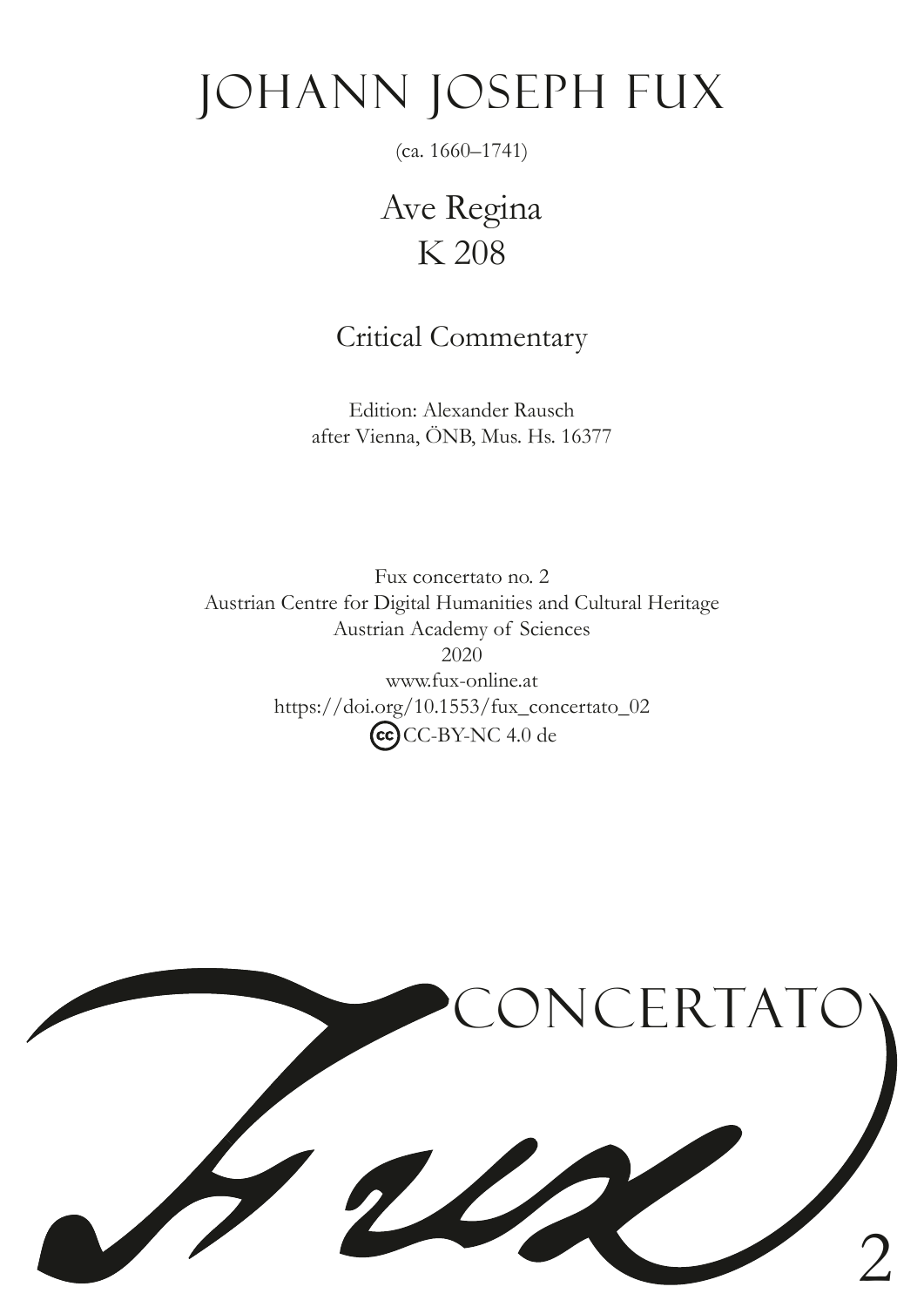# JOHANN JOSEPH FUX

(ca. 1660–1741)

Ave Regina K 208

## Critical Commentary

Edition: Alexander Rausch after Vienna, ÖNB, Mus. Hs. 16377

Fux concertato no. 2 Austrian Centre for Digital Humanities and Cultural Heritage Austrian Academy of Sciences 2020 www.fux-online.at https://doi.org/10.1553/fux\_concertato\_02 CC-BY-NC 4.0 de

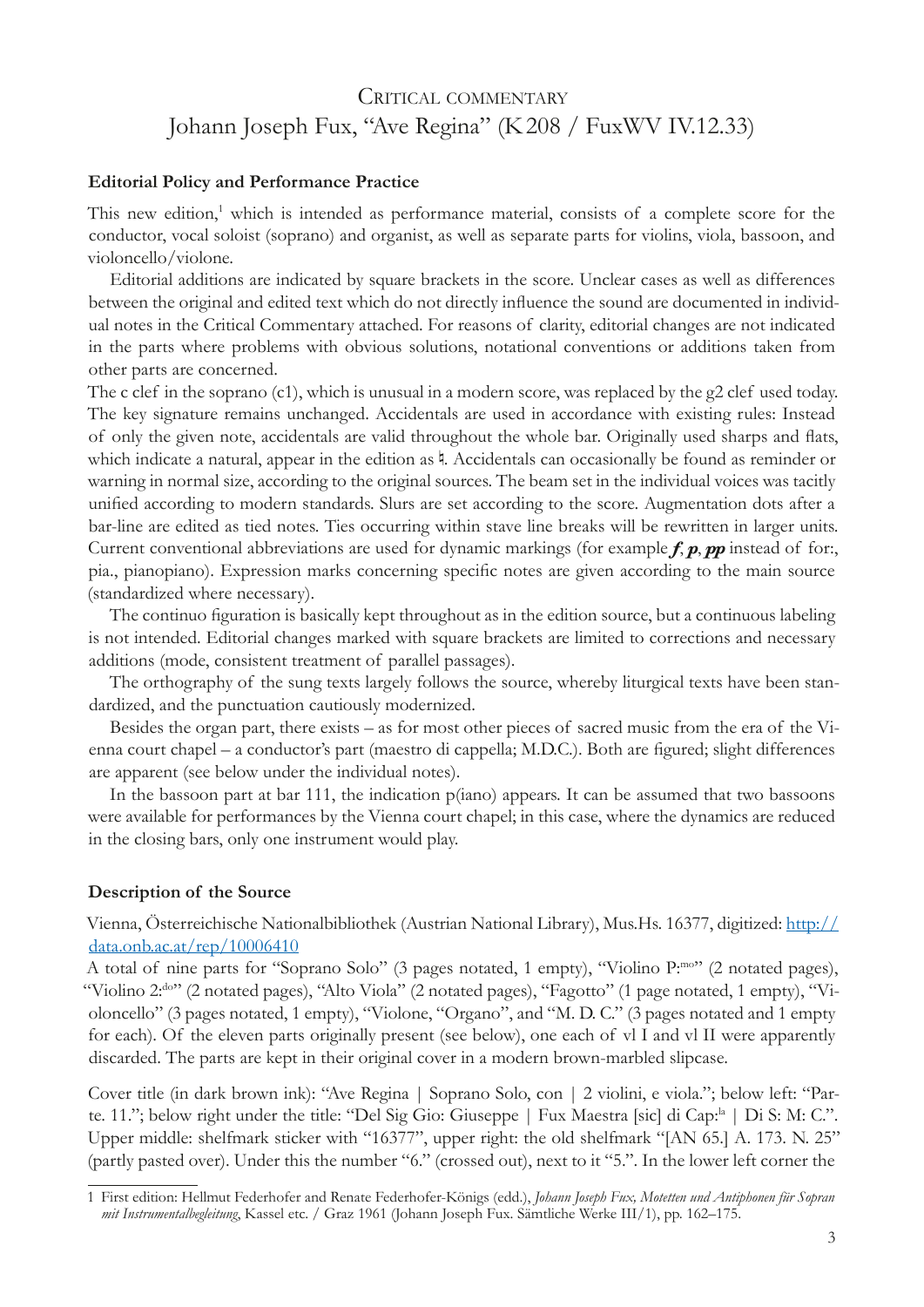## CRITICAL COMMENTARY Johann Joseph Fux, "Ave Regina" (K208 / FuxWV IV.12.33)

#### **Editorial Policy and Performance Practice**

This new edition,<sup>1</sup> which is intended as performance material, consists of a complete score for the conductor, vocal soloist (soprano) and organist, as well as separate parts for violins, viola, bassoon, and violoncello/violone.

Editorial additions are indicated by square brackets in the score. Unclear cases as well as differences between the original and edited text which do not directly infuence the sound are documented in individual notes in the Critical Commentary attached. For reasons of clarity, editorial changes are not indicated in the parts where problems with obvious solutions, notational conventions or additions taken from other parts are concerned.

The c clef in the soprano (c1), which is unusual in a modern score, was replaced by the g2 clef used today. The key signature remains unchanged. Accidentals are used in accordance with existing rules: Instead of only the given note, accidentals are valid throughout the whole bar. Originally used sharps and fats, which indicate a natural, appear in the edition as 4. Accidentals can occasionally be found as reminder or warning in normal size, according to the original sources. The beam set in the individual voices was tacitly unifed according to modern standards. Slurs are set according to the score. Augmentation dots after a bar-line are edited as tied notes. Ties occurring within stave line breaks will be rewritten in larger units. Current conventional abbreviations are used for dynamic markings (for example  $f, p, pp$  instead of for. pia., pianopiano). Expression marks concerning specifc notes are given according to the main source (standardized where necessary).

The continuo fguration is basically kept throughout as in the edition source, but a continuous labeling is not intended. Editorial changes marked with square brackets are limited to corrections and necessary additions (mode, consistent treatment of parallel passages).

The orthography of the sung texts largely follows the source, whereby liturgical texts have been standardized, and the punctuation cautiously modernized.

Besides the organ part, there exists – as for most other pieces of sacred music from the era of the Vienna court chapel – a conductor's part (maestro di cappella; M.D.C.). Both are fgured; slight differences are apparent (see below under the individual notes).

In the bassoon part at bar 111, the indication p(iano) appears. It can be assumed that two bassoons were available for performances by the Vienna court chapel; in this case, where the dynamics are reduced in the closing bars, only one instrument would play.

#### **Description of the Source**

Vienna, Österreichische Nationalbibliothek (Austrian National Library), Mus.Hs. 16377, digitized: [http://](http://data.onb.ac.at/rep/10006410) [data.onb.ac.at/rep/10006410](http://data.onb.ac.at/rep/10006410)

A total of nine parts for "Soprano Solo" (3 pages notated, 1 empty), "Violino P:mo" (2 notated pages), "Violino 2:<sup>do"</sup> (2 notated pages), "Alto Viola" (2 notated pages), "Fagotto" (1 page notated, 1 empty), "Violoncello" (3 pages notated, 1 empty), "Violone, "Organo", and "M. D. C." (3 pages notated and 1 empty for each). Of the eleven parts originally present (see below), one each of vl I and vl II were apparently discarded. The parts are kept in their original cover in a modern brown-marbled slipcase.

Cover title (in dark brown ink): "Ave Regina | Soprano Solo, con | 2 violini, e viola."; below left: "Parte. 11."; below right under the title: "Del Sig Gio: Giuseppe | Fux Maestra [sic] di Cap:<sup>la</sup> | Di S: M: C.". Upper middle: shelfmark sticker with "16377", upper right: the old shelfmark "[AN 65.] A. 173. N. 25" (partly pasted over). Under this the number "6." (crossed out), next to it "5.". In the lower left corner the

<sup>1</sup> First edition: Hellmut Federhofer and Renate Federhofer-Königs (edd.), *Johann Joseph Fux, Motetten und Antiphonen für Sopran mit Instrumentalbegleitung*, Kassel etc. / Graz 1961 (Johann Joseph Fux. Sämtliche Werke III/1), pp. 162–175.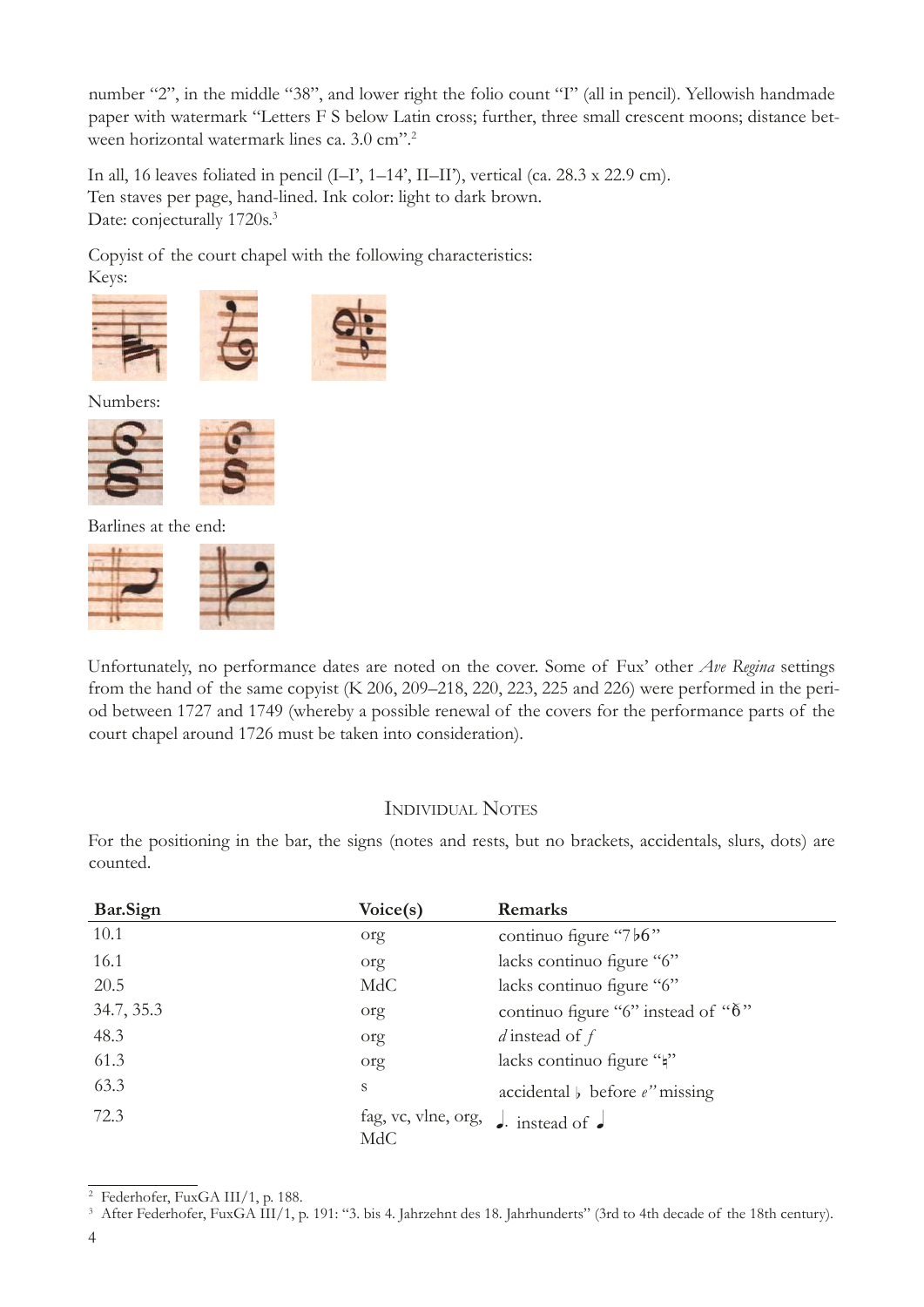number "2", in the middle "38", and lower right the folio count "I" (all in pencil). Yellowish handmade paper with watermark "Letters F S below Latin cross; further, three small crescent moons; distance between horizontal watermark lines ca. 3.0 cm".2

In all, 16 leaves foliated in pencil (I–I', 1–14', II–II'), vertical (ca. 28.3 x 22.9 cm). Ten staves per page, hand-lined. Ink color: light to dark brown. Date: conjecturally 1720s.<sup>3</sup>

Copyist of the court chapel with the following characteristics: Keys:





Numbers:



Barlines at the end:



Unfortunately, no performance dates are noted on the cover. Some of Fux' other *Ave Regina* settings from the hand of the same copyist (K 206, 209–218, 220, 223, 225 and 226) were performed in the period between 1727 and 1749 (whereby a possible renewal of the covers for the performance parts of the court chapel around 1726 must be taken into consideration).

#### Individual Notes

For the positioning in the bar, the signs (notes and rests, but no brackets, accidentals, slurs, dots) are counted.

| Bar.Sign   | Voice(s)                                            | Remarks                                 |
|------------|-----------------------------------------------------|-----------------------------------------|
| 10.1       | org                                                 | continuo figure "7b6"                   |
| 16.1       | org                                                 | lacks continuo figure "6"               |
| 20.5       | MdC                                                 | lacks continuo figure "6"               |
| 34.7, 35.3 | org                                                 | continuo figure "6" instead of " $6"$ " |
| 48.3       | org                                                 | d instead of $f$                        |
| 61.3       | org                                                 | lacks continuo figure ""                |
| 63.3       | S                                                   | accidental $\flat$ before $e$ " missing |
| 72.3       | fag, vc, vlne, org, $\int$ instead of $\int$<br>MdC |                                         |

<sup>&</sup>lt;sup>2</sup> Federhofer, FuxGA III/1, p. 188.<br><sup>3</sup> After Federhofer, FuxGA III/1, p. 191: "3. bis 4. Jahrzehnt des 18. Jahrhunderts" (3rd to 4th decade of the 18th century).